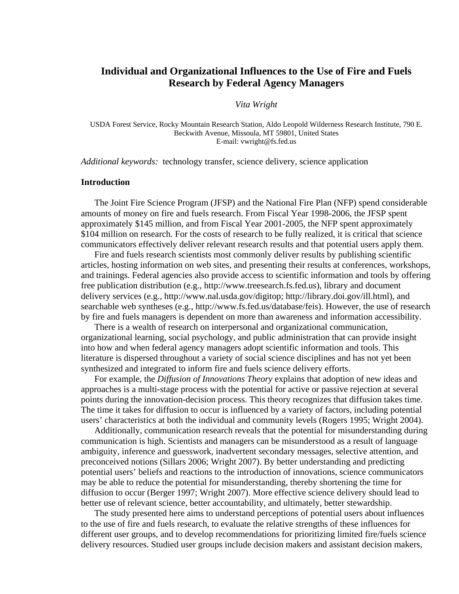# **Individual and Organizational Influences to the Use of Fire and Fuels Research by Federal Agency Managers**

### *Vita Wright*

USDA Forest Service, Rocky Mountain Research Station, Aldo Leopold Wilderness Research Institute, 790 E. Beckwith Avenue, Missoula, MT 59801, United States E-mail: vwright@fs.fed.us

*Additional keywords:* technology transfer, science delivery, science application

## **Introduction**

The Joint Fire Science Program (JFSP) and the National Fire Plan (NFP) spend considerable amounts of money on fire and fuels research. From Fiscal Year 1998-2006, the JFSP spent approximately \$145 million, and from Fiscal Year 2001-2005, the NFP spent approximately \$104 million on research. For the costs of research to be fully realized, it is critical that science communicators effectively deliver relevant research results and that potential users apply them.

Fire and fuels research scientists most commonly deliver results by publishing scientific articles, hosting information on web sites, and presenting their results at conferences, workshops, and trainings. Federal agencies also provide access to scientific information and tools by offering free publication distribution (e.g., http://www.treesearch.fs.fed.us), library and document delivery services (e.g., http://www.nal.usda.gov/digitop; http://library.doi.gov/ill.html), and searchable web syntheses (e.g., http://www.fs.fed.us/database/feis). However, the use of research by fire and fuels managers is dependent on more than awareness and information accessibility.

There is a wealth of research on interpersonal and organizational communication, organizational learning, social psychology, and public administration that can provide insight into how and when federal agency managers adopt scientific information and tools. This literature is dispersed throughout a variety of social science disciplines and has not yet been synthesized and integrated to inform fire and fuels science delivery efforts.

For example, the *Diffusion of Innovations Theory* explains that adoption of new ideas and approaches is a multi-stage process with the potential for active or passive rejection at several points during the innovation-decision process. This theory recognizes that diffusion takes time. The time it takes for diffusion to occur is influenced by a variety of factors, including potential users' characteristics at both the individual and community levels (Rogers 1995; Wright 2004).

Additionally, communication research reveals that the potential for misunderstanding during communication is high. Scientists and managers can be misunderstood as a result of language ambiguity, inference and guesswork, inadvertent secondary messages, selective attention, and preconceived notions (Sillars 2006; Wright 2007). By better understanding and predicting potential users' beliefs and reactions to the introduction of innovations, science communicators may be able to reduce the potential for misunderstanding, thereby shortening the time for diffusion to occur (Berger 1997; Wright 2007). More effective science delivery should lead to better use of relevant science, better accountability, and ultimately, better stewardship.

The study presented here aims to understand perceptions of potential users about influences to the use of fire and fuels research, to evaluate the relative strengths of these influences for different user groups, and to develop recommendations for prioritizing limited fire/fuels science delivery resources. Studied user groups include decision makers and assistant decision makers,